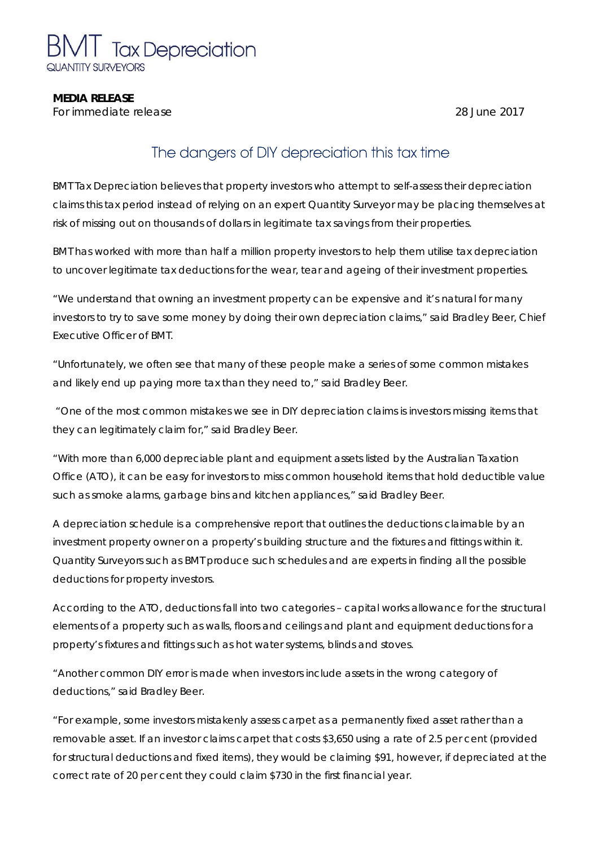

#### **MEDIA RELEASE**

*For immediate release* 28 June 2017

# The dangers of DIY depreciation this tax time

BMT Tax Depreciation believes that property investors who attempt to self-assess their depreciation claims this tax period instead of relying on an expert Quantity Surveyor may be placing themselves at risk of missing out on thousands of dollars in legitimate tax savings from their properties.

BMT has worked with more than half a million property investors to help them utilise tax depreciation to uncover legitimate tax deductions for the wear, tear and ageing of their investment properties.

"We understand that owning an investment property can be expensive and it's natural for many investors to try to save some money by doing their own depreciation claims," said Bradley Beer, Chief Executive Officer of BMT.

"Unfortunately, we often see that many of these people make a series of some common mistakes and likely end up paying more tax than they need to," said Bradley Beer.

 "One of the most common mistakes we see in DIY depreciation claims is investors missing items that they can legitimately claim for," said Bradley Beer.

"With more than 6,000 depreciable plant and equipment assets listed by the Australian Taxation Office (ATO), it can be easy for investors to miss common household items that hold deductible value such as smoke alarms, garbage bins and kitchen appliances," said Bradley Beer.

A depreciation schedule is a comprehensive report that outlines the deductions claimable by an investment property owner on a property's building structure and the fixtures and fittings within it. Quantity Surveyors such as BMT produce such schedules and are experts in finding all the possible deductions for property investors.

According to the ATO, deductions fall into two categories – capital works allowance for the structural elements of a property such as walls, floors and ceilings and plant and equipment deductions for a property's fixtures and fittings such as hot water systems, blinds and stoves.

"Another common DIY error is made when investors include assets in the wrong category of deductions," said Bradley Beer.

"For example, some investors mistakenly assess carpet as a permanently fixed asset rather than a removable asset. If an investor claims carpet that costs \$3,650 using a rate of 2.5 per cent (provided for structural deductions and fixed items), they would be claiming \$91, however, if depreciated at the correct rate of 20 per cent they could claim \$730 in the first financial year.